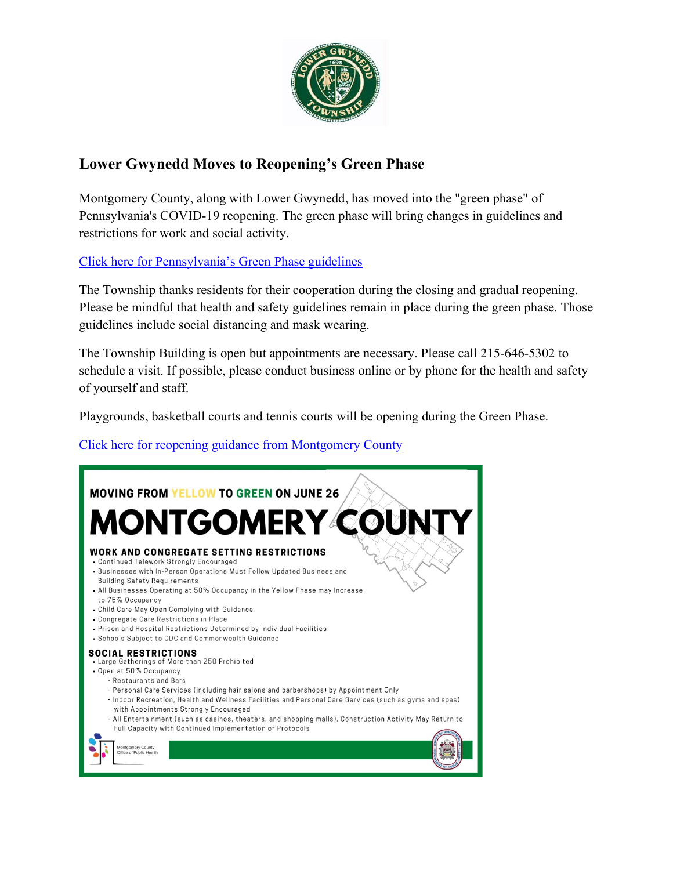

## **Lower Gwynedd Moves to Reopening's Green Phase**

Montgomery County, along with Lower Gwynedd, has moved into the "green phase" of Pennsylvania's COVID-19 reopening. The green phase will bring changes in guidelines and restrictions for work and social activity.

[Click here for Pennsylvania's Green Phase guidelines](https://www.governor.pa.gov/newsroom/gov-wolf-12-more-counties-to-go-green-on-june-26/)

The Township thanks residents for their cooperation during the closing and gradual reopening. Please be mindful that health and safety guidelines remain in place during the green phase. Those guidelines include social distancing and mask wearing.

The Township Building is open but appointments are necessary. Please call 215-646-5302 to schedule a visit. If possible, please conduct business online or by phone for the health and safety of yourself and staff.

Playgrounds, basketball courts and tennis courts will be opening during the Green Phase.

#### [Click here for reopening guidance from Montgomery County](https://www.montcopa.org/3524/Reopening-Guidance)

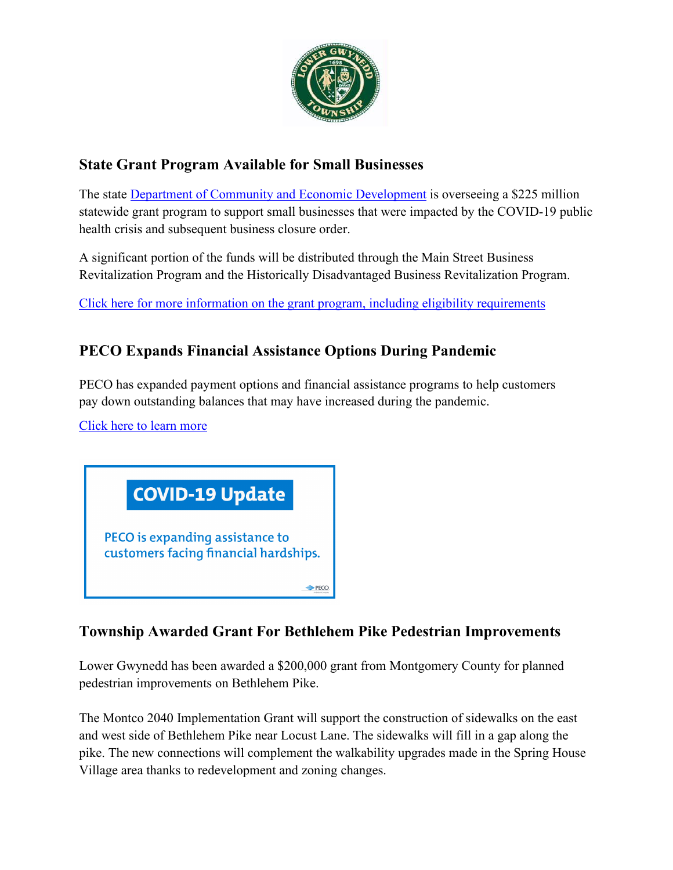

# **State Grant Program Available for Small Businesses**

The state [Department of Community and Economic Development](https://dced.pa.gov/) is overseeing a \$225 million statewide grant program to support small businesses that were impacted by the COVID-19 public health crisis and subsequent business closure order.

A significant portion of the funds will be distributed through the Main Street Business Revitalization Program and the Historically Disadvantaged Business Revitalization Program.

[Click here for more information on the grant program, including eligibility requirements](https://dced.pa.gov/programs/covid-19-relief-statewide-small-business-assistance/)

## **PECO Expands Financial Assistance Options During Pandemic**

PECO has expanded payment options and financial assistance programs to help customers pay down outstanding balances that may have increased during the pandemic.

[Click here to learn more](https://www.peco.com/News/Pages/Press%20Releases/PECOExpandsAssistancetoCustomersFacingFinancialHardships061720.aspx)



#### **Township Awarded Grant For Bethlehem Pike Pedestrian Improvements**

Lower Gwynedd has been awarded a \$200,000 grant from Montgomery County for planned pedestrian improvements on Bethlehem Pike.

The Montco 2040 Implementation Grant will support the construction of sidewalks on the east and west side of Bethlehem Pike near Locust Lane. The sidewalks will fill in a gap along the pike. The new connections will complement the walkability upgrades made in the Spring House Village area thanks to redevelopment and zoning changes.